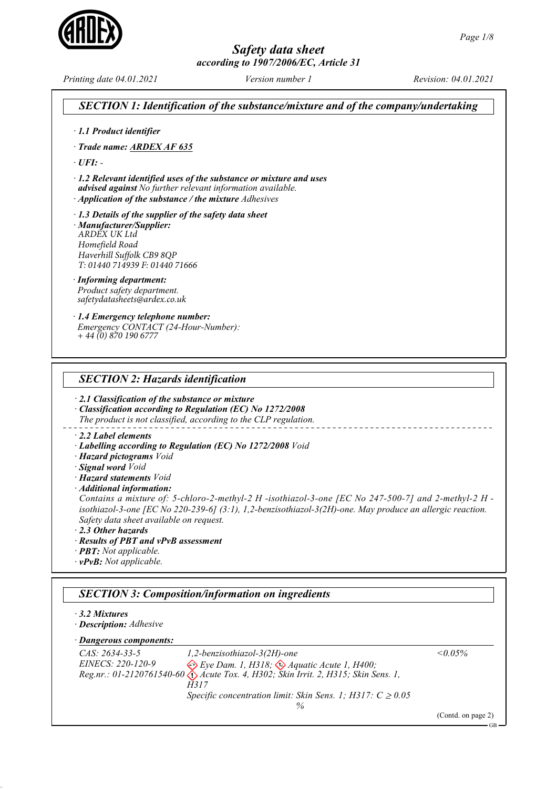

Printing date 04.01.2021 Version number 1 Revision: 04.01.2021

SECTION 1: Identification of the substance/mixture and of the company/undertaking · 1.1 Product identifier · Trade name: ARDEX AF 635  $\cdot$  UFI: -· 1.2 Relevant identified uses of the substance or mixture and uses advised against No further relevant information available. · Application of the substance / the mixture Adhesives · 1.3 Details of the supplier of the safety data sheet · Manufacturer/Supplier: *ARDEX UK Ltd Homefield Road Haverhill Suffolk CB9 8QP T: 01440 714939 F: 01440 71666* · Informing department: Product safety department. *safetydatasheets@ardex.co.uk* · 1.4 Emergency telephone number: Emergency CONTACT (24-Hour-Number): *+ 44 (0) 870 190 6777* SECTION 2: Hazards identification · 2.1 Classification of the substance or mixture · Classification according to Regulation (EC) No 1272/2008 The product is not classified, according to the CLP regulation. · 2.2 Label elements · Labelling according to Regulation (EC) No 1272/2008 Void · Hazard pictograms Void · Signal word Void · Hazard statements Void · Additional information: Contains a mixture of: 5-chloro-2-methyl-2 H -isothiazol-3-one [EC No 247-500-7] and 2-methyl-2 H isothiazol-3-one [EC No 220-239-6] (3:1), 1,2-benzisothiazol-3(2H)-one. May produce an allergic reaction. Safety data sheet available on request. · 2.3 Other hazards · Results of PBT and vPvB assessment · PBT: Not applicable. · vPvB: Not applicable. SECTION 3: Composition/information on ingredients · 3.2 Mixtures · Description: Adhesive  $\cdot$  Dangerous components: CAS: 2634-33-5 EINECS: 220-120-9 Reg.nr.: 01-2120761540-60 1,2-benzisothiazol-3(2H)-one Eye Dam. 1, H318;  $\leftrightarrow$  Aquatic Acute 1, H400; Acute Tox. 4, H302; Skin Irrit. 2, H315; Skin Sens. 1, H<sub>317</sub> Specific concentration limit: Skin Sens. 1; H317:  $C \ge 0.05$ %  $< 0.05\%$ (Contd. on page 2) GB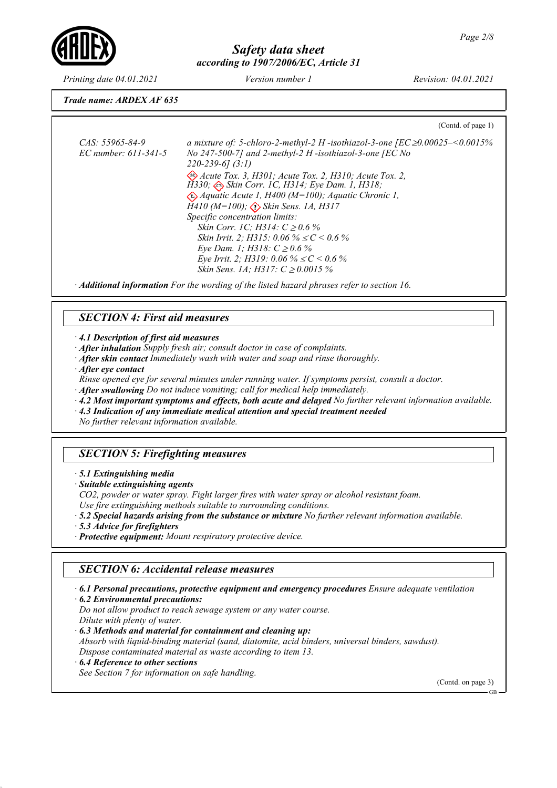

Printing date 04.01.2021 Version number 1 Revision: 04.01.2021

Trade name: ARDEX AF 635

(Contd. of page 1)

CAS: 55965-84-9 EC number: 611-341-5 a mixture of: 5-chloro-2-methyl-2 H -isothiazol-3-one [EC ≥0.00025–<0.0015% No 247-500-7] and 2-methyl-2 H -isothiazol-3-one [EC No 220-239-6] (3:1) Acute Tox. 3, H301; Acute Tox. 2, H310; Acute Tox. 2,  $\tilde{H}$ 330;  $\Leftrightarrow$  Skin Corr. 1C, H314; Eye Dam. 1, H318; Aquatic Acute 1, H400 (M=100); Aquatic Chronic 1,  $\hat{H}410 \ (M=100)$ ;  $\langle \cdot \rangle$  Skin Sens. 1A, H317 Specific concentration limits: Skin Corr. 1C; H314:  $C \ge 0.6 \%$ Skin Irrit. 2; H315: 0.06 %  $\leq C$  < 0.6 % Eye Dam. 1; H318:  $C$  ≥ 0.6 % Eye Irrit. 2; H319: 0.06 %  $\leq C$  < 0.6 % Skin Sens. 1A; H317:  $C \ge 0.0015 \%$ 

· Additional information For the wording of the listed hazard phrases refer to section 16.

## SECTION 4: First aid measures

· 4.1 Description of first aid measures

- · After inhalation Supply fresh air; consult doctor in case of complaints.
- · After skin contact Immediately wash with water and soap and rinse thoroughly.
- · After eye contact

Rinse opened eye for several minutes under running water. If symptoms persist, consult a doctor.

- · After swallowing Do not induce vomiting; call for medical help immediately.
- · 4.2 Most important symptoms and effects, both acute and delayed No further relevant information available.
- · 4.3 Indication of any immediate medical attention and special treatment needed

No further relevant information available.

# SECTION 5: Firefighting measures

· 5.1 Extinguishing media

· Suitable extinguishing agents

CO2, powder or water spray. Fight larger fires with water spray or alcohol resistant foam.

- Use fire extinguishing methods suitable to surrounding conditions.
- · 5.2 Special hazards arising from the substance or mixture No further relevant information available.
- · 5.3 Advice for firefighters
- · Protective equipment: Mount respiratory protective device.

## SECTION 6: Accidental release measures

· 6.1 Personal precautions, protective equipment and emergency procedures Ensure adequate ventilation

· 6.2 Environmental precautions:

Do not allow product to reach sewage system or any water course. Dilute with plenty of water. · 6.3 Methods and material for containment and cleaning up:

- Absorb with liquid-binding material (sand, diatomite, acid binders, universal binders, sawdust). Dispose contaminated material as waste according to item 13.
- · 6.4 Reference to other sections

See Section 7 for information on safe handling.

(Contd. on page 3)

GB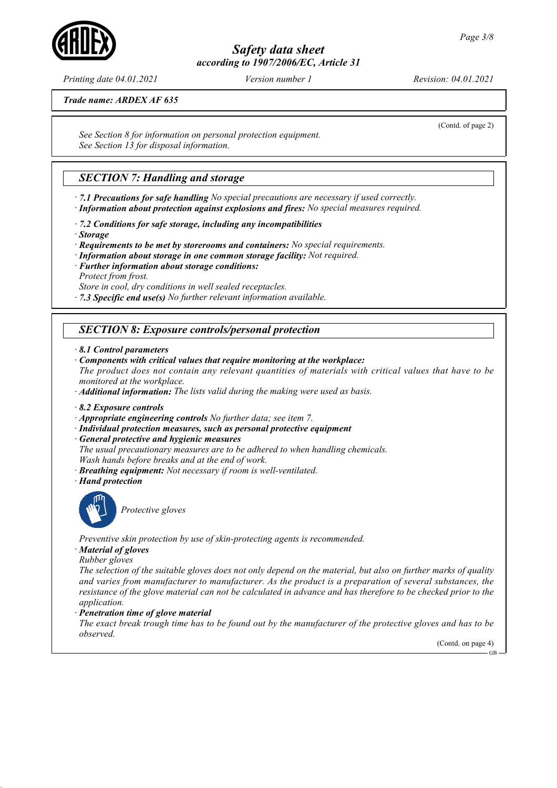Printing date 04.01.2021 Version number 1 Revision: 04.01.2021

Trade name: ARDEX AF 635

See Section 8 for information on personal protection equipment. See Section 13 for disposal information.

## **SECTION 7: Handling and storage**

· 7.1 Precautions for safe handling No special precautions are necessary if used correctly. · Information about protection against explosions and fires: No special measures required.

· 7.2 Conditions for safe storage, including any incompatibilities

· Storage

· Requirements to be met by storerooms and containers: No special requirements.

- · Information about storage in one common storage facility: Not required.
- · Further information about storage conditions: Protect from frost.

Store in cool, dry conditions in well sealed receptacles.

 $\cdot$  7.3 Specific end use(s) No further relevant information available.

## SECTION 8: Exposure controls/personal protection

```
· 8.1 Control parameters
```
· Components with critical values that require monitoring at the workplace:

The product does not contain any relevant quantities of materials with critical values that have to be monitored at the workplace.

· Additional information: The lists valid during the making were used as basis.

- · 8.2 Exposure controls
- · Appropriate engineering controls No further data; see item 7.
- · Individual protection measures, such as personal protective equipment
- · General protective and hygienic measures

The usual precautionary measures are to be adhered to when handling chemicals. Wash hands before breaks and at the end of work.

- · Breathing equipment: Not necessary if room is well-ventilated.
- · Hand protection



Protective gloves

Preventive skin protection by use of skin-protecting agents is recommended.

· Material of gloves

Rubber gloves

The selection of the suitable gloves does not only depend on the material, but also on further marks of quality and varies from manufacturer to manufacturer. As the product is a preparation of several substances, the resistance of the glove material can not be calculated in advance and has therefore to be checked prior to the application.

Penetration time of glove material

The exact break trough time has to be found out by the manufacturer of the protective gloves and has to be observed.

(Contd. on page 4)

GB



(Contd. of page 2)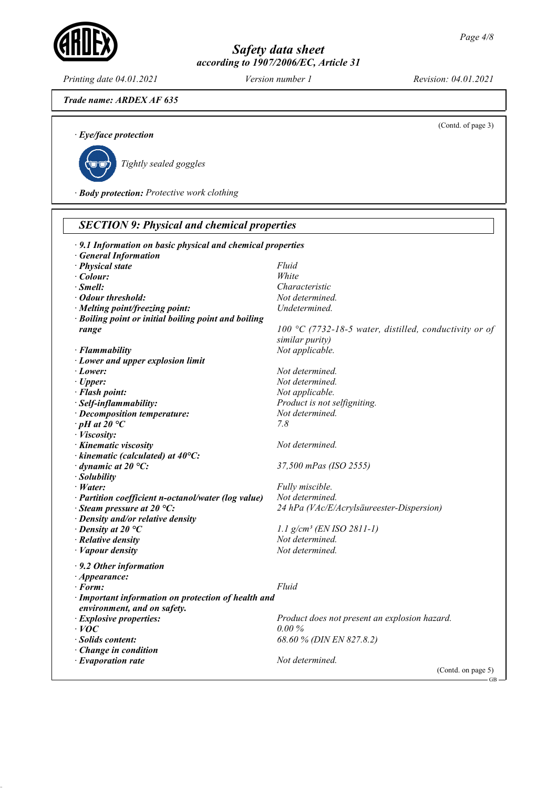Printing date 04.01.2021 Version number 1 Revision: 04.01.2021

```
Trade name: ARDEX AF 635
```
(Contd. of page 3)

· Eye/face protection



Tightly sealed goggles

· Body protection: Protective work clothing

| · 9.1 Information on basic physical and chemical properties |                                                        |
|-------------------------------------------------------------|--------------------------------------------------------|
| <b>General Information</b>                                  |                                                        |
| · Physical state                                            | Fluid                                                  |
| $\cdot$ Colour:                                             | White                                                  |
| $\cdot$ Smell:                                              | Characteristic                                         |
| • Odour threshold:                                          | Not determined.                                        |
| · Melting point/freezing point:                             | Undetermined.                                          |
| · Boiling point or initial boiling point and boiling        |                                                        |
| range                                                       | 100 °C (7732-18-5 water, distilled, conductivity or of |
|                                                             | similar purity)                                        |
| $\cdot$ Flammability                                        | Not applicable.                                        |
| · Lower and upper explosion limit                           |                                                        |
| · Lower:                                                    | Not determined.                                        |
| $\cdot$ Upper:                                              | Not determined.                                        |
| · Flash point:                                              | Not applicable.                                        |
| · Self-inflammability:                                      | Product is not selfigniting.                           |
| · Decomposition temperature:                                | Not determined.                                        |
| $\cdot$ pH at 20 $\degree$ C                                | 7.8                                                    |
| · Viscosity:                                                |                                                        |
| · Kinematic viscosity                                       | Not determined.                                        |
| $\cdot$ kinematic (calculated) at 40 $\degree$ C:           |                                                        |
| $\cdot$ dynamic at 20 °C:                                   | 37,500 mPas (ISO 2555)                                 |
| · Solubility                                                |                                                        |
| $\cdot$ Water:                                              | Fully miscible.                                        |
| · Partition coefficient n-octanol/water (log value)         | Not determined.                                        |
| $\cdot$ Steam pressure at 20 °C:                            | 24 hPa (VAc/E/Acrylsäureester-Dispersion)              |
| · Density and/or relative density                           |                                                        |
| $\cdot$ Density at 20 $\degree$ C                           | $1.1$ g/cm <sup>3</sup> (EN ISO 2811-1)                |
| $\cdot$ Relative density                                    | Not determined.                                        |
| $\cdot$ <i>Vapour density</i>                               | Not determined.                                        |
|                                                             |                                                        |
| $\cdot$ 9.2 Other information                               |                                                        |
| $\cdot$ Appearance:                                         |                                                        |
| $\cdot$ Form:                                               | Fluid                                                  |
| · Important information on protection of health and         |                                                        |
| environment, and on safety.                                 |                                                        |
| · Explosive properties:                                     | Product does not present an explosion hazard.          |
| $\cdot$ VOC                                                 | 0.00%                                                  |
| · Solids content:                                           | 68.60 % (DIN EN 827.8.2)                               |
| $\cdot$ Change in condition                                 |                                                        |
| $\cdot$ Evaporation rate                                    | Not determined.                                        |
|                                                             | (Contd. on page 5)<br>$-GB -$                          |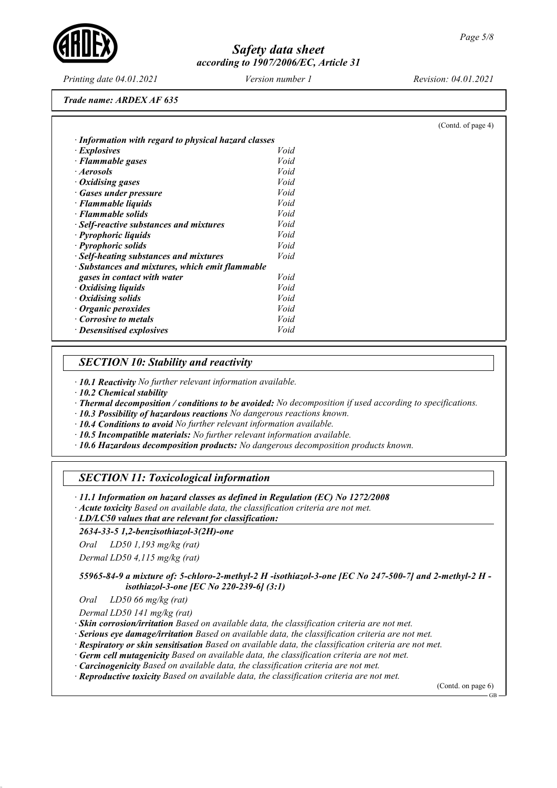Printing date 04.01.2021 Version number 1 Revision: 04.01.2021

(Contd. of page 4)

Trade name: ARDEX AF 635

| $\cdot$ Explosives                              | Void |
|-------------------------------------------------|------|
| · Flammable gases                               | Void |
| · Aerosols                                      | Void |
| • Oxidising gases                               | Void |
| · Gases under pressure                          | Void |
| · Flammable liquids                             | Void |
| · Flammable solids                              | Void |
| · Self-reactive substances and mixtures         | Void |
| · Pyrophoric liquids                            | Void |
| · Pyrophoric solids                             | Void |
| · Self-heating substances and mixtures          | Void |
| · Substances and mixtures, which emit flammable |      |
| gases in contact with water                     | Void |
| • Oxidising liquids                             | Void |
| $\cdot$ Oxidising solids                        | Void |
| $\cdot$ Organic peroxides                       | Void |
| Corrosive to metals                             | Void |
| $\cdot$ Desensitised explosives                 | Void |

## SECTION 10: Stability and reactivity

· 10.1 Reactivity No further relevant information available.

· 10.2 Chemical stability

· Thermal decomposition / conditions to be avoided: No decomposition if used according to specifications.

· 10.3 Possibility of hazardous reactions No dangerous reactions known.

· 10.4 Conditions to avoid No further relevant information available.

- · 10.5 Incompatible materials: No further relevant information available.
- · 10.6 Hazardous decomposition products: No dangerous decomposition products known.

## SECTION 11: Toxicological information

· 11.1 Information on hazard classes as defined in Regulation (EC) No 1272/2008

· Acute toxicity Based on available data, the classification criteria are not met.

LD/LC50 values that are relevant for classification: ·

#### 2634-33-5 1,2-benzisothiazol-3(2H)-one

Oral LD50 1,193 mg/kg (rat)

Dermal LD50 4,115 mg/kg (rat)

55965-84-9 a mixture of: 5-chloro-2-methyl-2 H -isothiazol-3-one [EC No 247-500-7] and 2-methyl-2 H isothiazol-3-one [EC No 220-239-6] (3:1)

Oral LD50 66 mg/kg (rat)

Dermal LD50 141 mg/kg (rat)

· Skin corrosion/irritation Based on available data, the classification criteria are not met.

· Serious eye damage/irritation Based on available data, the classification criteria are not met.

· Respiratory or skin sensitisation Based on available data, the classification criteria are not met.

· Germ cell mutagenicity Based on available data, the classification criteria are not met.

· Carcinogenicity Based on available data, the classification criteria are not met.

· Reproductive toxicity Based on available data, the classification criteria are not met.

(Contd. on page 6)

GB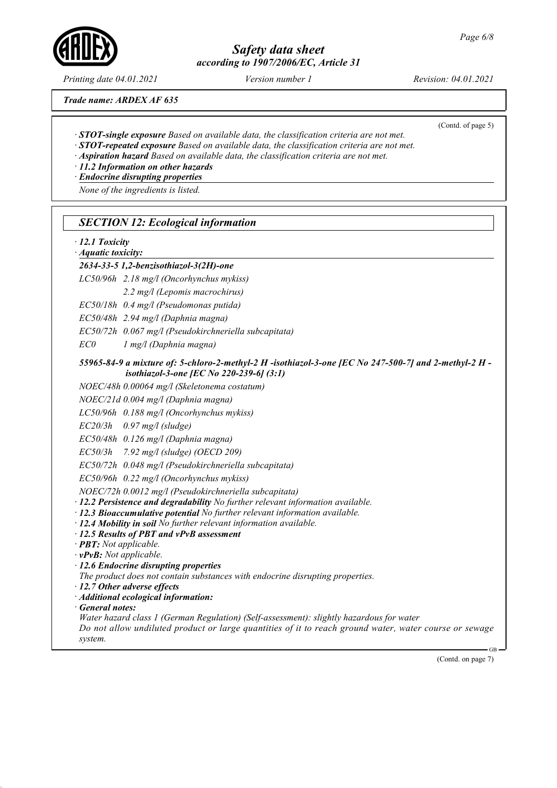Printing date 04.01.2021 Version number 1 Revision: 04.01.2021

(Contd. of page 5)

Trade name: ARDEX AF 635

- · STOT-single exposure Based on available data, the classification criteria are not met.
- · STOT-repeated exposure Based on available data, the classification criteria are not met.
- · Aspiration hazard Based on available data, the classification criteria are not met.
- · 11.2 Information on other hazards

· Endocrine disrupting properties

None of the ingredients is listed.

| · Aquatic toxicity:                | $\cdot$ 12.1 Toxicity                                                                                                                                                                                                                                                                                                                                                                                         |
|------------------------------------|---------------------------------------------------------------------------------------------------------------------------------------------------------------------------------------------------------------------------------------------------------------------------------------------------------------------------------------------------------------------------------------------------------------|
|                                    | 2634-33-5 1,2-benzisothiazol-3(2H)-one                                                                                                                                                                                                                                                                                                                                                                        |
|                                    | LC50/96h 2.18 mg/l (Oncorhynchus mykiss)                                                                                                                                                                                                                                                                                                                                                                      |
|                                    | 2.2 mg/l (Lepomis macrochirus)                                                                                                                                                                                                                                                                                                                                                                                |
|                                    | EC50/18h 0.4 mg/l (Pseudomonas putida)                                                                                                                                                                                                                                                                                                                                                                        |
|                                    | EC50/48h 2.94 mg/l (Daphnia magna)                                                                                                                                                                                                                                                                                                                                                                            |
|                                    | EC50/72h 0.067 mg/l (Pseudokirchneriella subcapitata)                                                                                                                                                                                                                                                                                                                                                         |
| EC0                                | $1$ mg/l (Daphnia magna)                                                                                                                                                                                                                                                                                                                                                                                      |
|                                    | 55965-84-9 a mixture of: 5-chloro-2-methyl-2 H -isothiazol-3-one [EC No 247-500-7] and 2-methyl-2 H -<br>isothiazol-3-one [EC No 220-239-6] (3:1)                                                                                                                                                                                                                                                             |
|                                    | NOEC/48h 0.00064 mg/l (Skeletonema costatum)                                                                                                                                                                                                                                                                                                                                                                  |
|                                    | NOEC/21d 0.004 mg/l (Daphnia magna)                                                                                                                                                                                                                                                                                                                                                                           |
|                                    | LC50/96h 0.188 mg/l (Oncorhynchus mykiss)                                                                                                                                                                                                                                                                                                                                                                     |
| EC20/3h                            | $0.97$ mg/l (sludge)                                                                                                                                                                                                                                                                                                                                                                                          |
|                                    | EC50/48h 0.126 mg/l (Daphnia magna)                                                                                                                                                                                                                                                                                                                                                                           |
| EC50/3h                            | 7.92 mg/l (sludge) (OECD 209)                                                                                                                                                                                                                                                                                                                                                                                 |
|                                    | EC50/72h 0.048 mg/l (Pseudokirchneriella subcapitata)                                                                                                                                                                                                                                                                                                                                                         |
|                                    | EC50/96h 0.22 mg/l (Oncorhynchus mykiss)                                                                                                                                                                                                                                                                                                                                                                      |
|                                    | NOEC/72h 0.0012 mg/l (Pseudokirchneriella subcapitata)<br>· 12.2 Persistence and degradability No further relevant information available.<br>· 12.3 Bioaccumulative potential No further relevant information available.<br>· 12.4 Mobility in soil No further relevant information available.<br>· 12.5 Results of PBT and vPvB assessment<br>· <b>PBT:</b> Not applicable.<br>$\cdot$ vPvB: Not applicable. |
|                                    | $\cdot$ 12.6 Endocrine disrupting properties                                                                                                                                                                                                                                                                                                                                                                  |
|                                    | The product does not contain substances with endocrine disrupting properties.                                                                                                                                                                                                                                                                                                                                 |
|                                    | · Additional ecological information:                                                                                                                                                                                                                                                                                                                                                                          |
| $\cdot$ 12.7 Other adverse effects |                                                                                                                                                                                                                                                                                                                                                                                                               |
| · General notes:                   |                                                                                                                                                                                                                                                                                                                                                                                                               |
|                                    | Water hazard class 1 (German Regulation) (Self-assessment): slightly hazardous for water<br>Do not allow undiluted product or large quantities of it to reach ground water, water course or sewage                                                                                                                                                                                                            |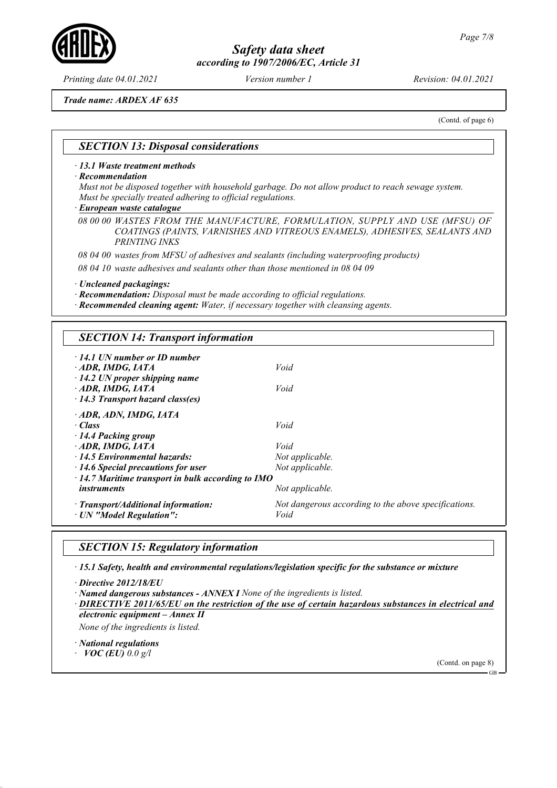Trade name: ARDEX AF 635

(Contd. of page 6)

### SECTION 13: Disposal considerations

· 13.1 Waste treatment methods

· Recommendation

Must not be disposed together with household garbage. Do not allow product to reach sewage system. Must be specially treated adhering to official regulations.

European waste catalogue ·

08 00 00 WASTES FROM THE MANUFACTURE, FORMULATION, SUPPLY AND USE (MFSU) OF COATINGS (PAINTS, VARNISHES AND VITREOUS ENAMELS), ADHESIVES, SEALANTS AND PRINTING INKS

08 04 00 wastes from MFSU of adhesives and sealants (including waterproofing products)

08 04 10 waste adhesives and sealants other than those mentioned in 08 04 09

· Uncleaned packagings:

· Recommendation: Disposal must be made according to official regulations.

· Recommended cleaning agent: Water, if necessary together with cleansing agents.

### SECTION 14: Transport information

| $\cdot$ 14.1 UN number or ID number<br>ADR, IMDG, IATA                                                                                       | Void                                                         |
|----------------------------------------------------------------------------------------------------------------------------------------------|--------------------------------------------------------------|
| $\cdot$ 14.2 UN proper shipping name<br>ADR, IMDG, IATA<br>$\cdot$ 14.3 Transport hazard class(es)                                           | Void                                                         |
| · ADR, ADN, IMDG, IATA<br>$\cdot$ Class                                                                                                      | Void                                                         |
| 14.4 Packing group<br>ADR, IMDG, IATA                                                                                                        | Void                                                         |
| $\cdot$ 14.5 Environmental hazards:<br>$\cdot$ 14.6 Special precautions for user<br>$\cdot$ 14.7 Maritime transport in bulk according to IMO | Not applicable.<br>Not applicable.                           |
| <i>instruments</i>                                                                                                                           | Not applicable.                                              |
| $\cdot$ Transport/Additional information:<br>· UN "Model Regulation":                                                                        | Not dangerous according to the above specifications.<br>Void |

## SECTION 15: Regulatory information

· 15.1 Safety, health and environmental regulations/legislation specific for the substance or mixture

· Directive 2012/18/EU

· Named dangerous substances - ANNEX I None of the ingredients is listed.

DIRECTIVE 2011/65/EU on the restriction of the use of certain hazardous substances in electrical and electronic equipment – Annex II

None of the ingredients is listed.

· National regulations

 $VOC$  (EU) 0.0 g/l



GB



Printing date 04.01.2021 Version number 1 Revision: 04.01.2021